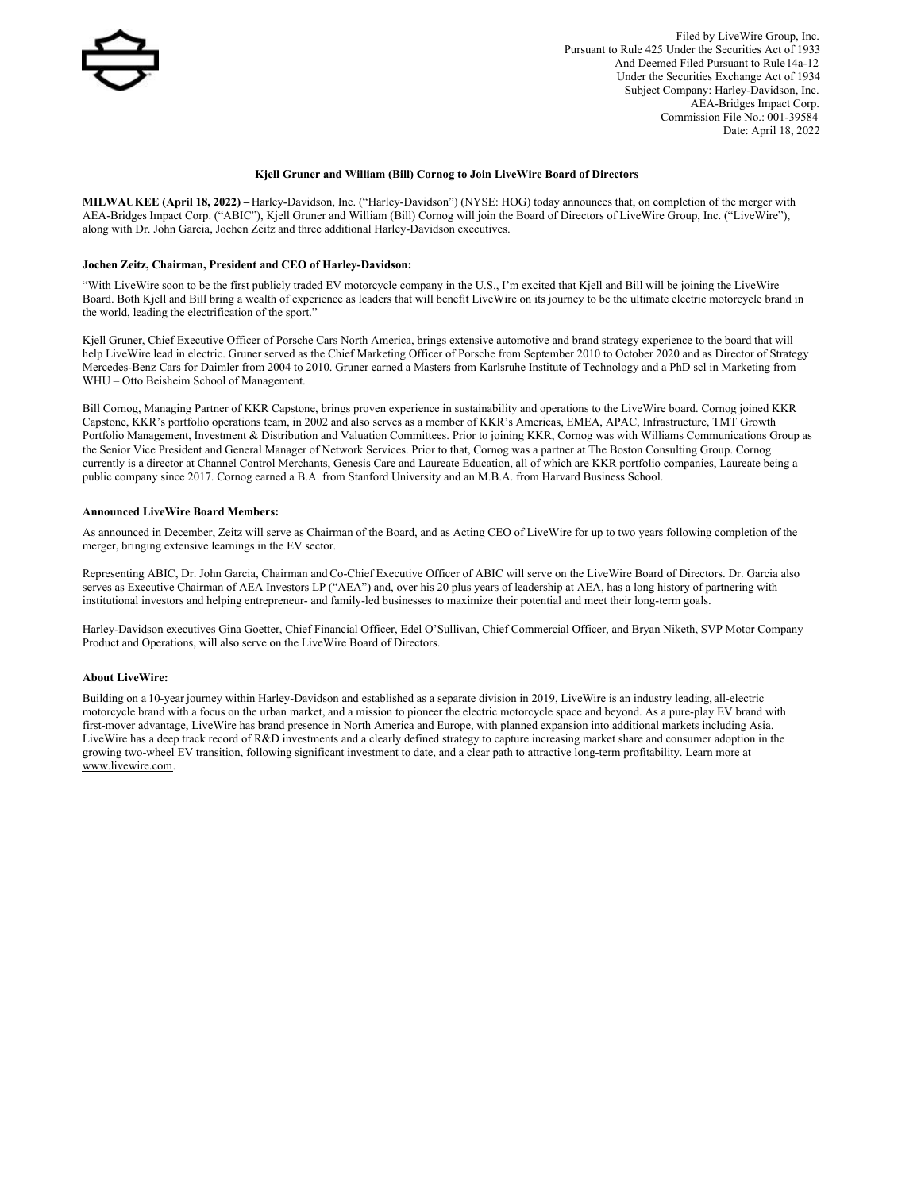

# **Kjell Gruner and William (Bill) Cornog to Join LiveWire Board of Directors**

**MILWAUKEE (April 18, 2022) –** Harley-Davidson, Inc. ("Harley-Davidson") (NYSE: HOG) today announces that, on completion of the merger with AEA-Bridges Impact Corp. ("ABIC"), Kjell Gruner and William (Bill) Cornog will join the Board of Directors of LiveWire Group, Inc. ("LiveWire"), along with Dr. John Garcia, Jochen Zeitz and three additional Harley-Davidson executives.

### **Jochen Zeitz, Chairman, President and CEO of Harley-Davidson:**

"With LiveWire soon to be the first publicly traded EV motorcycle company in the U.S., I'm excited that Kjell and Bill will be joining the LiveWire Board. Both Kjell and Bill bring a wealth of experience as leaders that will benefit LiveWire on its journey to be the ultimate electric motorcycle brand in the world, leading the electrification of the sport."

Kjell Gruner, Chief Executive Officer of Porsche Cars North America, brings extensive automotive and brand strategy experience to the board that will help LiveWire lead in electric. Gruner served as the Chief Marketing Officer of Porsche from September 2010 to October 2020 and as Director of Strategy Mercedes-Benz Cars for Daimler from 2004 to 2010. Gruner earned a Masters from Karlsruhe Institute of Technology and a PhD scl in Marketing from WHU – Otto Beisheim School of Management.

Bill Cornog, Managing Partner of KKR Capstone, brings proven experience in sustainability and operations to the LiveWire board. Cornog joined KKR Capstone, KKR's portfolio operations team, in 2002 and also serves as a member of KKR's Americas, EMEA, APAC, Infrastructure, TMT Growth Portfolio Management, Investment & Distribution and Valuation Committees. Prior to joining KKR, Cornog was with Williams Communications Group as the Senior Vice President and General Manager of Network Services. Prior to that, Cornog was a partner at The Boston Consulting Group. Cornog currently is a director at Channel Control Merchants, Genesis Care and Laureate Education, all of which are KKR portfolio companies, Laureate being a public company since 2017. Cornog earned a B.A. from Stanford University and an M.B.A. from Harvard Business School.

# **Announced LiveWire Board Members:**

As announced in December, Zeitz will serve as Chairman of the Board, and as Acting CEO of LiveWire for up to two years following completion of the merger, bringing extensive learnings in the EV sector.

Representing ABIC, Dr. John Garcia, Chairman and Co-Chief Executive Officer of ABIC will serve on the LiveWire Board of Directors. Dr. Garcia also serves as Executive Chairman of AEA Investors LP ("AEA") and, over his 20 plus years of leadership at AEA, has a long history of partnering with institutional investors and helping entrepreneur- and family-led businesses to maximize their potential and meet their long-term goals.

Harley-Davidson executives Gina Goetter, Chief Financial Officer, Edel O'Sullivan, Chief Commercial Officer, and Bryan Niketh, SVP Motor Company Product and Operations, will also serve on the LiveWire Board of Directors.

#### **About LiveWire:**

Building on a 10-year journey within Harley-Davidson and established as a separate division in 2019, LiveWire is an industry leading, all-electric motorcycle brand with a focus on the urban market, and a mission to pioneer the electric motorcycle space and beyond. As a pure-play EV brand with first-mover advantage, LiveWire has brand presence in North America and Europe, with planned expansion into additional markets including Asia. LiveWire has a deep track record of R&D investments and a clearly defined strategy to capture increasing market share and consumer adoption in the growing two-wheel EV transition, following significant investment to date, and a clear path to attractive long-term profitability. Learn more at www.livewire.com.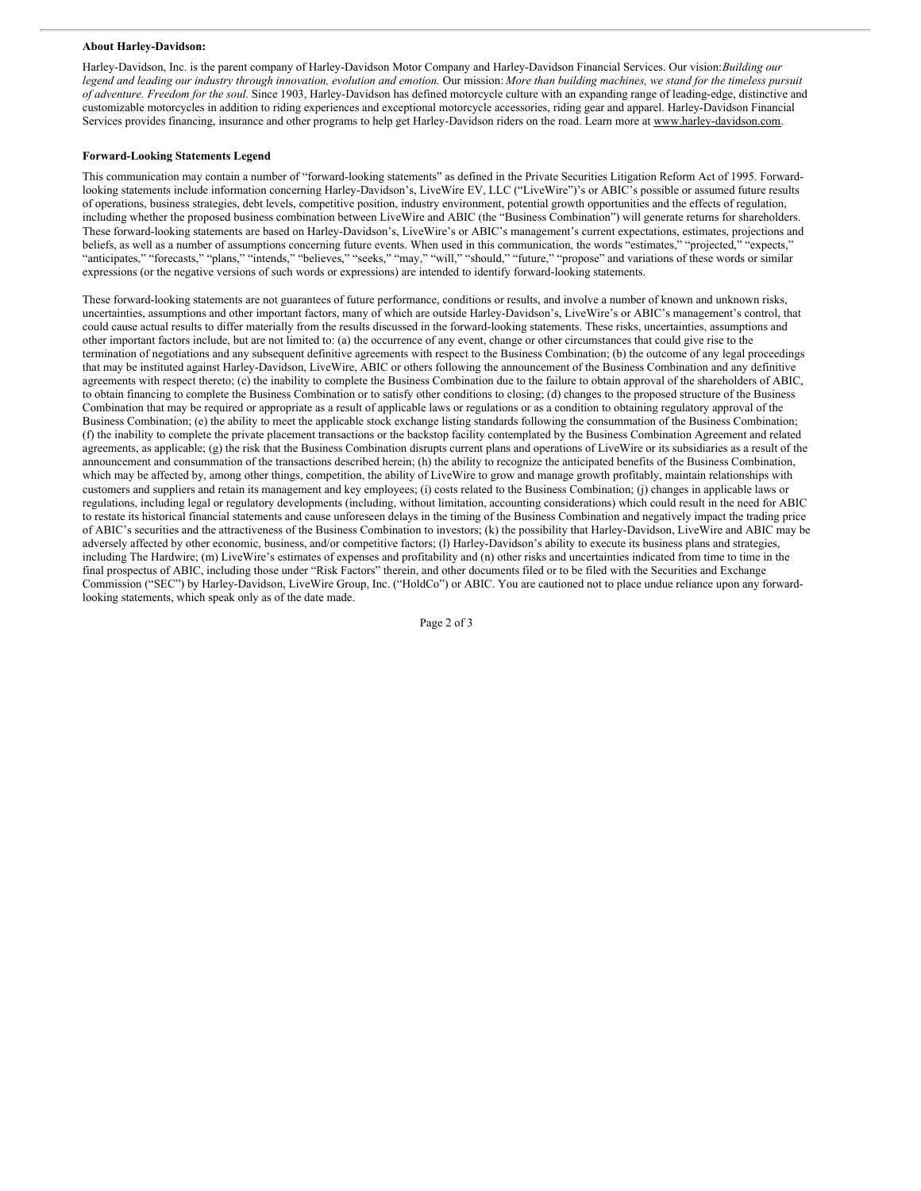#### **About Harley-Davidson:**

Harley-Davidson, Inc. is the parent company of Harley-Davidson Motor Company and Harley-Davidson Financial Services. Our vision:*Building our* legend and leading our industry through innovation, evolution and emotion. Our mission: More than building machines, we stand for the timeless pursuit *of adventure. Freedom for the soul.* Since 1903, Harley-Davidson has defined motorcycle culture with an expanding range of leading-edge, distinctive and customizable motorcycles in addition to riding experiences and exceptional motorcycle accessories, riding gear and apparel. Harley-Davidson Financial Services provides financing, insurance and other programs to help get Harley-Davidson riders on the road. Learn more at www.harley-davidson.com.

# **Forward-Looking Statements Legend**

This communication may contain a number of "forward-looking statements" as defined in the Private Securities Litigation Reform Act of 1995. Forwardlooking statements include information concerning Harley-Davidson's, LiveWire EV, LLC ("LiveWire")'s or ABIC's possible or assumed future results of operations, business strategies, debt levels, competitive position, industry environment, potential growth opportunities and the effects of regulation, including whether the proposed business combination between LiveWire and ABIC (the "Business Combination") will generate returns for shareholders. These forward-looking statements are based on Harley-Davidson's, LiveWire's or ABIC's management's current expectations, estimates, projections and beliefs, as well as a number of assumptions concerning future events. When used in this communication, the words "estimates," "projected," "expects," "anticipates," "forecasts," "plans," "intends," "believes," "seeks," "may," "will," "should," "future," "propose" and variations of these words or similar expressions (or the negative versions of such words or expressions) are intended to identify forward-looking statements.

These forward-looking statements are not guarantees of future performance, conditions or results, and involve a number of known and unknown risks, uncertainties, assumptions and other important factors, many of which are outside Harley-Davidson's, LiveWire's or ABIC's management's control, that could cause actual results to differ materially from the results discussed in the forward-looking statements. These risks, uncertainties, assumptions and other important factors include, but are not limited to: (a) the occurrence of any event, change or other circumstances that could give rise to the termination of negotiations and any subsequent definitive agreements with respect to the Business Combination; (b) the outcome of any legal proceedings that may be instituted against Harley-Davidson, LiveWire, ABIC or others following the announcement of the Business Combination and any definitive agreements with respect thereto; (c) the inability to complete the Business Combination due to the failure to obtain approval of the shareholders of ABIC, to obtain financing to complete the Business Combination or to satisfy other conditions to closing; (d) changes to the proposed structure of the Business Combination that may be required or appropriate as a result of applicable laws or regulations or as a condition to obtaining regulatory approval of the Business Combination; (e) the ability to meet the applicable stock exchange listing standards following the consummation of the Business Combination; (f) the inability to complete the private placement transactions or the backstop facility contemplated by the Business Combination Agreement and related agreements, as applicable; (g) the risk that the Business Combination disrupts current plans and operations of LiveWire or its subsidiaries as a result of the announcement and consummation of the transactions described herein; (h) the ability to recognize the anticipated benefits of the Business Combination, which may be affected by, among other things, competition, the ability of LiveWire to grow and manage growth profitably, maintain relationships with customers and suppliers and retain its management and key employees; (i) costs related to the Business Combination; (j) changes in applicable laws or regulations, including legal or regulatory developments (including, without limitation, accounting considerations) which could result in the need for ABIC to restate its historical financial statements and cause unforeseen delays in the timing of the Business Combination and negatively impact the trading price of ABIC's securities and the attractiveness of the Business Combination to investors; (k) the possibility that Harley-Davidson, LiveWire and ABIC may be adversely affected by other economic, business, and/or competitive factors; (l) Harley-Davidson's ability to execute its business plans and strategies, including The Hardwire; (m) LiveWire's estimates of expenses and profitability and (n) other risks and uncertainties indicated from time to time in the final prospectus of ABIC, including those under "Risk Factors" therein, and other documents filed or to be filed with the Securities and Exchange Commission ("SEC") by Harley-Davidson, LiveWire Group, Inc. ("HoldCo") or ABIC. You are cautioned not to place undue reliance upon any forwardlooking statements, which speak only as of the date made.

Page 2 of 3